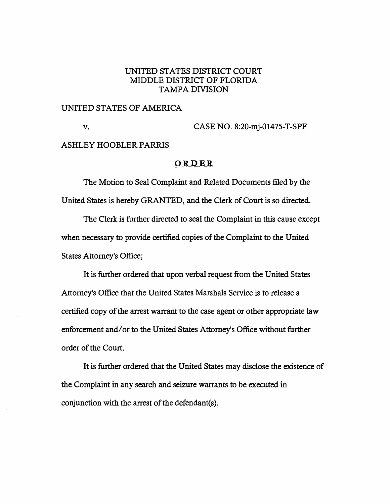## UNITED STATES DISTRICT COURT MIDDLE DISTRICT OF FLORIDA TAMPA DIVISION

#### UNITED STATES OF AMERICA

**V.** CASE NO. 8:20-mj-01475-T-SPF

#### ASHLEY HOOBLER PARRIS

#### **ORDER**

The Motion to Seal Complaint and Related Documents filed by the United States is hereby GRANTED, and the Clerk of Court is so directed.

The Clerk is further directed to seal the Complaint in this cause except when necessary to provide certified copies of the Complaint to the United States Attorney's Office;

It is further ordered that upon verbal request from the United States Attorney's Office that the United States Marshals Service is to release a certified copy of the arrest warrant to the case agent or other appropriate law enforcement and/ or to the United States Attorney's Office without further order of the Court.

It is further ordered that the United States may disclose the existence of the Complaint in any search and seizure warrants to be executed in conjunction with the arrest of the defendant(s).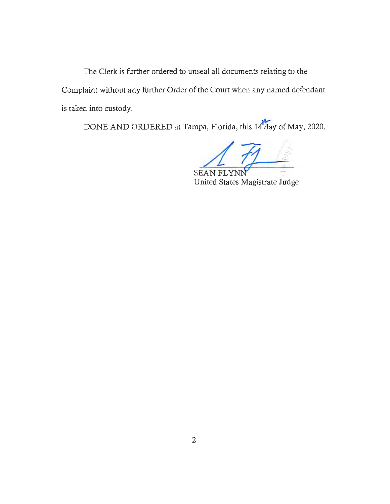The Clerk is further ordered to unseal all documents relating to the Complaint without any further Order of the Court when any named defendant is taken into custody.

DONE AND ORDERED at Tampa, Florida, this 14 day of May, 2020.

**SEAN FLYNN** 

United States Magistrate Judge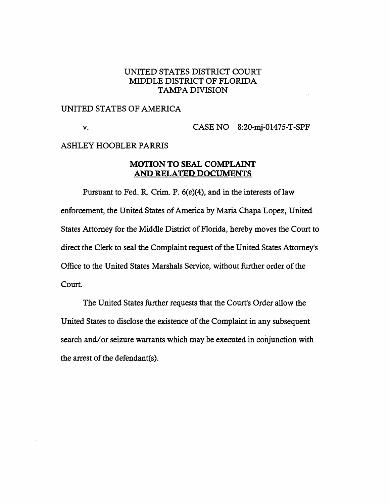## UNITED STATES DISTRICT COURT MIDDLE DISTRICT OF FLORIDA TAMPA DIVISION

## UNITED STATES OF AMERICA

v. CASE NO 8:20-mj-01475-T-SPF

#### ASHLEY HOOBLER PARRIS

## **MOTION TO SEAL COMPLAINT AND RELATED DOCUMENTS**

Pursuant to Fed. R. Crim. P. 6(e)(4), and in the interests of law enforcement, the United States of America by Maria Chapa Lopez, United States Attorney for the Middle District of Florida, hereby moves the Court to direct the Clerk to seal the Complaint request of the United States Attorney's Office to the United States Marshals Service, without further order of the Court.

The United States further requests that the Court's Order allow the United States to disclose the existence of the Complaint in any subsequent search and/ or seizure warrants which may be executed in conjunction with the arrest of the defendant(s).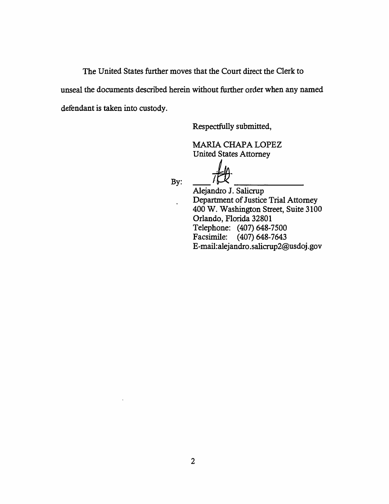The United States further moves that the Court direct the Clerk to unseal the documents described herein without further order when any named defendant is taken into custody.

Respectfully submitted,

**MARIA CHAPA LOPEZ** United States Attorney

By:

 $\ddot{\phantom{0}}$ 

-~-- Alejandro J. Salicrup Department of Justice Trial Attorney 400 W. Washington Street, Suite 3100 Orlando, Florida 32801 Telephone: (407) 648-7500 Facsimile: (407) 648-7643 E-mail:a1ejandro.salicrup2@usdoj.gov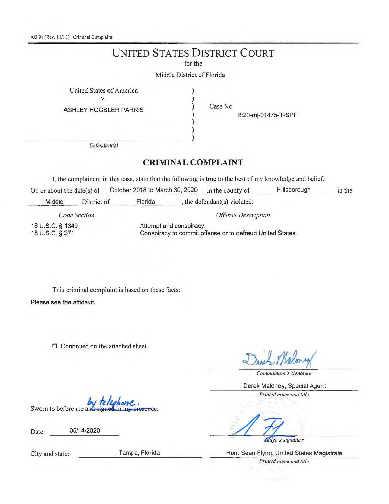AO 91 (Rev. 11/11) Criminal Complaint

## **UNITED STATES DISTRICT COURT**

for the

) ) ) ) ) ) )

Middle District of Florida

United States of America Y.

ASHLEY HOOBLER PARRIS

Case No.

8:20-mj-01475-T-SPF

*Defendant(s)* 

## **CRIMINAL COMPLAINT**

I, the complainant in thjs case, state that the following is true to the best of my knowledge and belief.

On or about the date(s) of Cortober 2018 to March 30, 2020 in the county of Hillsborough Middle District of Florida , the defendant(s) violated: *Code Section Offense Description*  in the

18 U.S.C. § 1349

Attempt and conspiracy. Conspiracy to commit offense or to defraud United States.

This criminal complaint is based on these facts: Please see the affidavit.

**0** Continued on the attached sheet.

*Complainanl 's signature* 

Derek Maloney, Special Agent

*Printed name and title* 

Sworn to before me and

Date: 05/14/2020

*didge's signature* 

City and state: Tampa, Florida Hon. Sean Flynn, United States Magistrate *Primed name and title*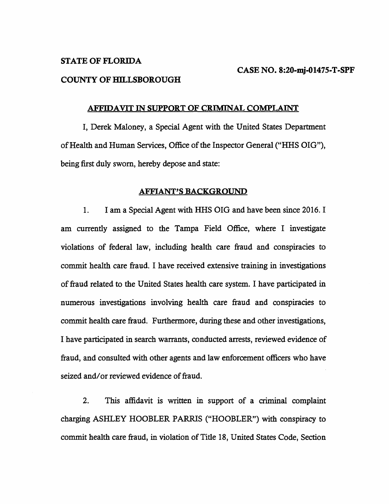#### **STATE OF FLORIDA**

#### **COUNTY OF HILLSBOROUGH**

#### **AFFIDAVIT** IN **SUPPORT OF CRIMINAL COMPLAINT**

I, Derek Maloney, a Special Agent with the United States Department of Health and Human Services, Office of the Inspector General ("HHS OIG"), being first duly sworn, hereby depose and state:

#### **AFFIANT'S BACKGROUND**

1. I am a Special Agent with HHS OIG and have been since 2016. I am currently assigned to the Tampa Field Office, where I investigate violations of federal law, including health care fraud and conspiracies to commit health care fraud. I have received extensive training in investigations of fraud related to the United States health care system. I have participated in numerous investigations involving health care fraud and conspiracies to commit health care fraud. Furthermore, during these and other investigations, I have participated in search warrants, conducted arrests, reviewed evidence of fraud, and consulted with other agents and law enforcement officers who have seized and/or reviewed evidence of fraud.

2. This affidavit is written in support of a criminal complaint charging ASHLEY HOOBLER *PARRlS* ("HOOBLER") with conspiracy to commit health care fraud, in violation of Title 18, United States Code, Section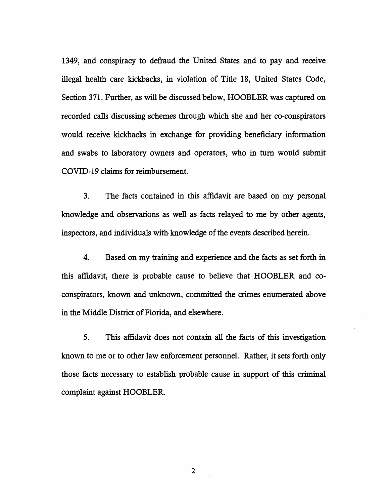1349, and conspiracy to defraud the United States and to pay and receive illegal health care kickbacks, in violation of Title 18, United States Code, Section 371. Further, as will be discussed below, HOOBLER was captured on recorded calls discussing schemes through which she and her co-conspirators would receive kickbacks in exchange for providing beneficiary information and swabs to laboratory owners and operators, who in tum would submit COVID-19 claims for reimbursement.

3. The facts contained in this affidavit are based on my personal knowledge and observations as well as facts relayed to me by other agents, inspectors, and individuals with knowledge of the events described herein.

4. Based on my training and experience and the facts as set forth in this affidavit, there is probable cause to believe that HOOBLER and coconspirators, known and unknown, committed the crimes enumerated above in the Middle District of Florida, and elsewhere.

5. This affidavit does not contain all the facts of this investigation known to me or to other law enforcement personnel. Rather, it sets forth only those facts necessary to establish probable cause in support of this criminal complaint against HOOBLER.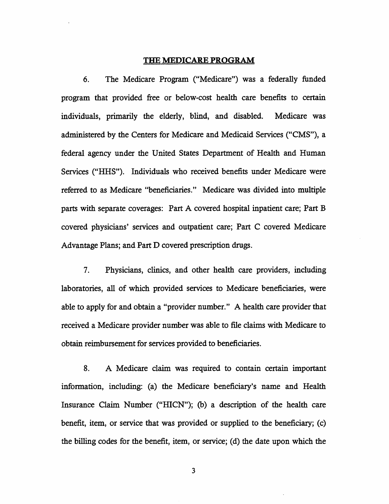#### **THE MEDICARE PROGRAM**

6. The Medicare Program ("Medicare") was a federally funded program that provided free or below-cost health care benefits to certain individuals, primarily the elderly, blind, and disabled. Medicare was administered by the Centers for Medicare and Medicaid Services ("CMS"), a federal agency under the United States Department of Health and Human Services ("HHS"). Individuals who received benefits under Medicare were referred to as Medicare "beneficiaries." Medicare was divided into multiple parts with separate coverages: Part A covered hospital inpatient care; Part B covered physicians' services and outpatient care; Part C covered Medicare Advantage Plans; and Part D covered prescription drugs.

7. Physicians, clinics, and other health care providers, including laboratories, all of which provided services to Medicare beneficiaries, were able to apply for and obtain a "provider number." A health care provider that received a Medicare provider number was able to file claims with Medicare to obtain reimbursement for services provided to beneficiaries.

8. A Medicare claim was required to contain certain important information, including: (a) the Medicare beneficiary's name and Health Insurance Claim Number ("HICN"); (b) a description of the health care benefit, item, or service that was provided or supplied to the beneficiary; (c) the billing codes for the benefit, item, or service; (d) the date upon which the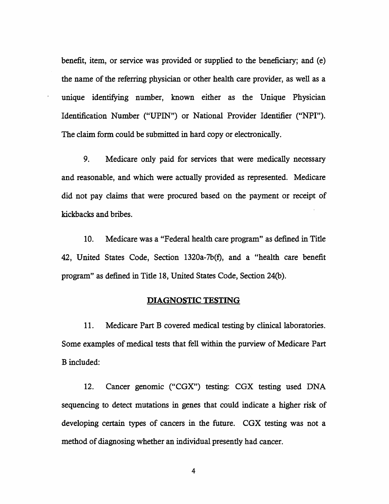benefit, item, or service was provided or supplied to the beneficiary; and (e) the name of the referring physician or other health care provider, as well as a unique identifying number, known either as the Unique Physician Identification Number ("UPIN") or National Provider Identifier ("NPI"). The claim form could be submitted in hard copy or electronically.

9. Medicare only paid for services that were medically necessary and reasonable, and which were actually provided as represented. Medicare did not pay claims that were procured based on the payment or receipt of kickbacks and bribes.

10. Medicare was a "Federal health care program" as defined in Title 42, United States Code, Section 1320a-7b{f), and a "health care benefit program" as defined in Title 18, United States Code, Section 24(b).

### **DIAGNOSTIC TESTING**

11. Medicare Part B covered medical testing by clinical laboratories. Some examples of medical tests that fell within the purview of Medicare Part B included:

12. Cancer genomic ("CGX") testing: CGX testing used DNA sequencing to detect mutations in genes that could indicate a higher risk of developing certain types of cancers in the future. CGX testing was not a method of diagnosing whether an individual presently had cancer.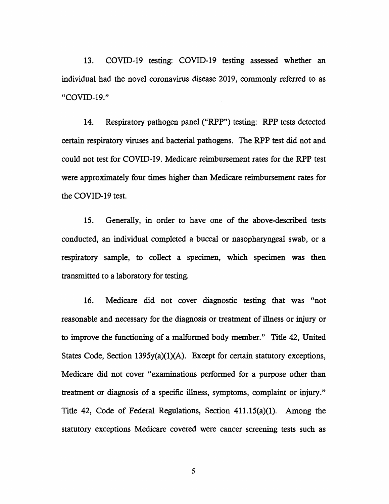13. COVID-19 testing: COVID-19 testing assessed whether an individual had the novel coronavirus disease 2019, commonly referred to as "COVID-19."

14. Respiratory pathogen panel ("RPP") testing: RPP tests detected certain respiratory viruses and bacterial pathogens. The RPP test did not and could not test for COVID-19. Medicare reimbursement rates for the RPP test were approximately four times higher than Medicare reimbursement rates for the COVID-19 test.

15. Generally, in order to have one of the above-described tests conducted, an individual completed a buccal or nasopharyngeal swab, or a respiratory sample, to collect a specimen, which specimen was then transmitted to a laboratory for testing.

16. Medicare did not cover diagnostic testing that was "not reasonable and necessary for the diagnosis or treatment of illness or injury or to improve the functioning of a malformed body member." Title 42, United States Code, Section  $1395y(a)(1)(A)$ . Except for certain statutory exceptions, Medicare did not cover "examinations performed for a purpose other than treatment or diagnosis of a specific illness, symptoms, complaint or injury." Title 42, Code of Federal Regulations, Section  $411.15(a)(1)$ . Among the statutory exceptions Medicare covered were cancer screening tests such as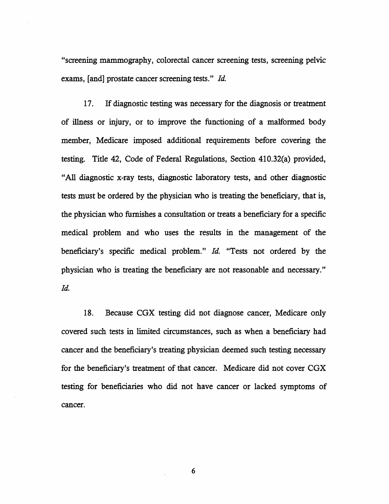"screening mammography, colorectal cancer screening tests, screening pelvic exams, [and] prostate cancer screening tests." *Id.* 

17. If diagnostic testing was necessary for the diagnosis or treatment of illness or injury, or to improve the functioning of a malformed body member, Medicare imposed additional requirements before covering the testing. Title 42, Code of Federal Regulations, Section 410.32(a) provided, "All diagnostic x-ray tests, diagnostic laboratory tests, and other diagnostic tests must be ordered by the physician who is treating the beneficiary, that is, the physician who furnishes a consultation or treats a beneficiary for a specific medical problem and who uses the results in the management of the beneficiary's specific medical problem." *Id.* "Tests not ordered by the physician who is treating the beneficiary are not reasonable and necessary." *Id.* 

18. Because CGX testing did not diagnose cancer, Medicare only covered such tests in limited circumstances, such as when a beneficiary had cancer and the beneficiary's treating physician deemed such testing necessary for the beneficiary's treatment of that cancer. Medicare did not cover CGX testing for beneficiaries who did not have cancer or lacked symptoms of cancer.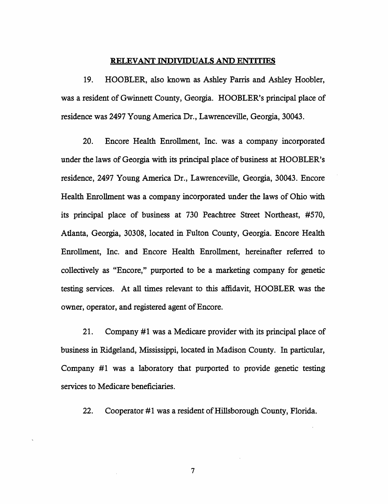#### **RELEVANT INDIVIDUALS AND ENTITIBS**

19. HOOBLER, also known as Ashley Parris and Ashley Hoobler, was a resident of Gwinnett County, Georgia. HOOBLER's principal place of residence was 2497 Young America Dr., Lawrenceville, Georgia, 30043.

20. Encore Health Enrollment, Inc. was a company incorporated under the laws of Georgia with its principal place of business at HOOBLER's residence, 2497 Young America Dr., Lawrenceville, Georgia, 30043. Encore Health Enrollment was a company incorporated under the laws of Ohio with its principal place of business at 730 Peachtree Street Northeast, #570, Atlanta, Georgia, 30308, located in Fulton County, Georgia. Encore Health Enrollment, Inc. and Encore Health Enrollment, hereinafter referred to collectively as "Encore," purported to be a marketing company for genetic testing services. At all times relevant to this affidavit, HOOBLER was the owner, operator, and registered agent of Encore.

21. Company #1 was a Medicare provider with its principal place of business in Ridgeland, Mississippi, located in Madison County. In particular, Company  $#1$  was a laboratory that purported to provide genetic testing services to Medicare beneficiaries.

22. Cooperator #1 was a resident of Hillsborough County, Florida.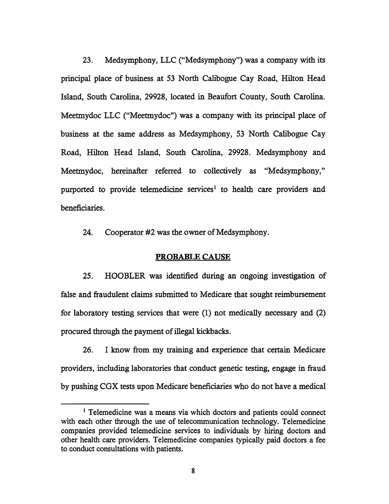23. Medsymphony, LLC ("Medsymphony") was a company with its principal place of business at 53 North Calibogue Cay Road, Hilton Head Island, South Carolina, 29928, located in Beaufort County, South Carolina. Meetmydoc LLC ("Meetmydoc") was a company with its principal place of business at the same address as Medsymphony, 53 North Calibogue Cay Road, Hilton Head Island, South Carolina, 29928. Medsymphony and Meetmydoc, hereinafter referred to collectively as "Medsymphony," purported to provide telemedicine services<sup>1</sup> to health care providers and beneficiaries.

24. Cooperator #2 was the owner of Medsymphony.

#### **PROBABLE CAUSE**

25. HOOBLER was identified during an ongoing investigation of false and fraudulent claims submitted to Medicare that sought reimbursement for laboratory testing services that were (1) not medically necessary and (2) procured through the payment of illegal kickbacks.

26. I know from my training and experience that certain Medicare providers, including laboratories that conduct genetic testing, engage in fraud by pushing CGX tests upon Medicare beneficiaries who do not have a medical

<sup>&</sup>lt;sup>1</sup> Telemedicine was a means via which doctors and patients could connect with each other through the use of telecommunication technology. Telemedicine companies provided telemedicine services to individuals by hiring doctors and other health care providers. Telemedicine companies typically paid doctors a fee to conduct consultations with patients.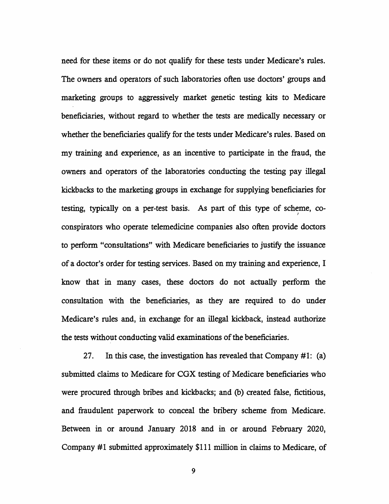need for these items or do not qualify for these tests under Medicare's rules. The owners and operators of such laboratories often use doctors' groups and marketing groups to aggressively market genetic testing kits to Medicare beneficiaries, without regard to whether the tests are medically necessary or whether the beneficiaries qualify for the tests under Medicare's rules. Based on my training and experience, as an incentive to participate in the fraud, the owners and operators of the laboratories conducting the testing pay illegal kickbacks to the marketing groups in exchange for supplying beneficiaries for testing, typically on a per-test basis. As part of this type of scheme, co- *)*  conspirators who operate telemedicine companies also often provide doctors to perform "consultations" with Medicare beneficiaries to justify the issuance of a doctor's order for testing services. Based on my training and experience, I know that in many cases, these doctors do not actually perform the consultation with the beneficiaries, as they are required to do under Medicare's rules and, in exchange for an illegal kickback, instead authorize the tests without conducting valid examinations of the beneficiaries.

27. In this case, the investigation has revealed that Company #1: (a) submitted claims to Medicare for CGX testing of Medicare beneficiaries who were procured through bribes and kickbacks; and (b) created false, fictitious, and fraudulent paperwork to conceal the bribery scheme from Medicare. Between in or around January 2018 and in or around February 2020, Company #1 submitted approximately \$111 million in claims to Medicare, of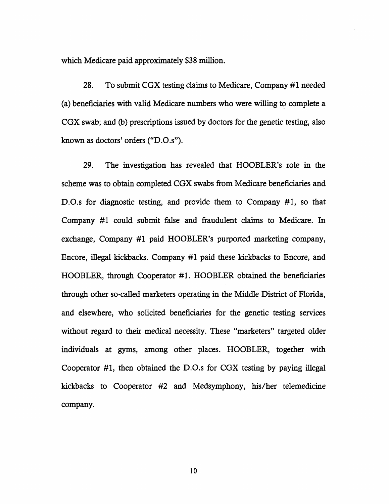which Medicare paid approximately \$38 million.

28. To submit CGX testing claims to Medicare, Company #1 needed (a) beneficiaries with valid Medicare numbers who were willing to complete a CGX swab; and (b) prescriptions issued by doctors for the genetic testing, also known as doctors' orders ("D.0.s").

29. The investigation has revealed that HOOBLER's role in the scheme was to obtain completed CGX swabs from Medicare beneficiaries and D.0.s for diagnostic testing, and provide them to Company #1, so that Company #1 could submit false and fraudulent claims to Medicare. In exchange, Company #1 paid HOOBLER's purported marketing company, Encore, illegal kickbacks. Company #1 paid these kickbacks to Encore, and HOOBLER, through Cooperator #1. HOOBLER obtained the beneficiaries through other so-called marketers operating in the Middle District of Florida, and elsewhere, who solicited beneficiaries for the genetic testing services without regard to their medical necessity. These "marketers" targeted older individuals at gyms, among other places. HOOBLER, together with Cooperator #1, then obtained the D.O.s for CGX testing by paying illegal kickbacks to Cooperator #2 and Medsymphony, his/her telemedicine company.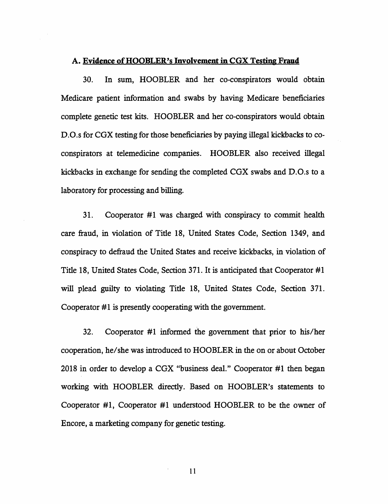#### **A. Evidence of HOOBLER's Involvement** in **CGX Testing Fraud**

30. In sum, HOOBLER and her co-conspirators would obtain Medicare patient information and swabs by having Medicare beneficiaries complete genetic test kits. HOOBLER and her co-conspirators would obtain D.O.s for CGX testing for those beneficiaries by paying illegal kickbacks to coconspirators at telemedicine companies. HOOBLER also received illegal kickbacks in exchange for sending the completed CGX swabs and D.0.s to a laboratory for processing and billing.

31. Cooperator  $#1$  was charged with conspiracy to commit health care fraud, in violation of Title 18, United States Code, Section 1349, and conspiracy to defraud the United States and receive kickbacks, in violation of Title 18, United States Code, Section 371. It is anticipated that Cooperator #1 will plead guilty to violating Title 18, United States Code, Section 371. Cooperator #1 is presently cooperating with the government.

32. Cooperator #1 informed the government that prior to his/her cooperation, he/she was introduced to HOOBLER in the on or about October 2018 in order to develop a CGX "business deal." Cooperator  $#1$  then began working with HOOBLER directly. Based on HOOBLER's statements to Cooperator #1, Cooperator #1 understood HOOBLER to be the owner of Encore, a marketing company for genetic testing.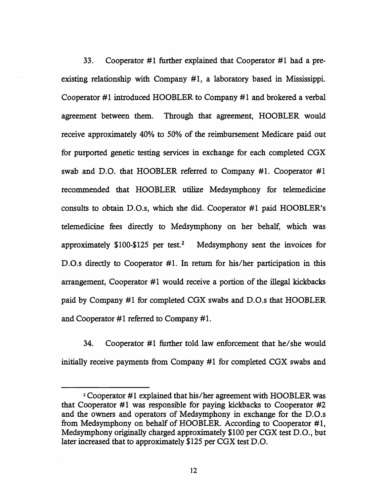33. Cooperator  $#1$  further explained that Cooperator  $#1$  had a preexisting relationship with Company  $#1$ , a laboratory based in Mississippi. Cooperator #1 introduced HOOBLER to Company #1 and brokered a verbal agreement between them. Through that agreement, HOOBLER would receive approximately 40% to 50% of the reimbursement Medicare paid out for purported genetic testing services in exchange for each completed CGX swab and D.O. that HOOBLER referred to Company #1. Cooperator #1 recommended that HOOBLER utilize Medsymphony for telemedicine consults to obtain D.O.s, which she did. Cooperator #1 paid HOOBLER's telemedicine fees directly to Medsymphony on her behalf, which was approximately  $$100-$125$  per test.<sup>2</sup> Medsymphony sent the invoices for D.O.s directly to Cooperator #1. In return for his/her participation in this arrangement, Cooperator  $#1$  would receive a portion of the illegal kickbacks paid by Company #1 for completed CGX swabs and D.O.s that HOOBLER and Cooperator  $#1$  referred to Company  $#1$ .

34. Cooperator  $#1$  further told law enforcement that he/she would initially receive payments from Company #1 for completed CGX swabs and

<sup>&</sup>lt;sup>2</sup> Cooperator #1 explained that his/her agreement with HOOBLER was that Cooperator  $#1$  was responsible for paying kickbacks to Cooperator  $#2$ and the owners and operators of Medsymphony in exchange for the D.O.s from Medsymphony on behalf of HOOBLER. According to Cooperator #1, Medsymphony originally charged approximately \$100 per CGX test D.O., but later increased that to approximately \$125 per CGX test D.O.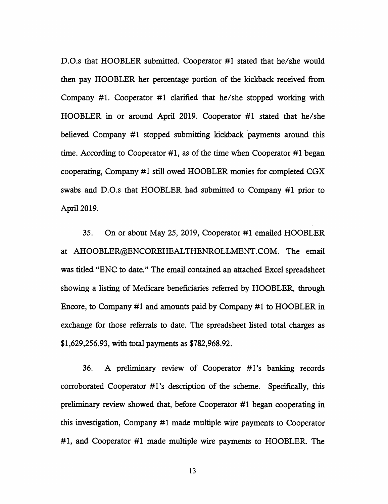D.O.s that HOOBLER submitted. Cooperator #1 stated that he/she would then pay HOOBLER her percentage portion of the kickback received from Company #1. Cooperator #1 clarified that he/she stopped working with HOOBLER in or around April 2019. Cooperator #1 stated that he/she believed Company #1 stopped submitting kickback payments around this time. According to Cooperator #1, as of the time when Cooperator #1 began cooperating, Company #1 still owed HOOBLER monies for completed CGX swabs and D.O.s that HOOBLER had submitted to Company #1 prior to April 2019.

35. On or about May 25, 2019, Cooperator #1 emailed HOOBLER at AHOOBLER@ENCOREHEALTHENROLLMENT.COM. The email was titled "ENC to date." The email contained an attached Excel spreadsheet showing a listing of Medicare beneficiaries referred by HOOBLER, through Encore, to Company #1 and amounts paid by Company #1 to HOOBLER in exchange for those referrals to date. The spreadsheet listed total charges as \$1,629,256.93, with total payments as \$782,968.92.

36. A preliminary review of Cooperator #l's banking records corroborated Cooperator #1's description of the scheme. Specifically, this preliminary review showed that, before Cooperator #1 began cooperating in this investigation, Company #1 made multiple wire payments to Cooperator #1, and Cooperator #1 made multiple wire payments to HOOBLER. The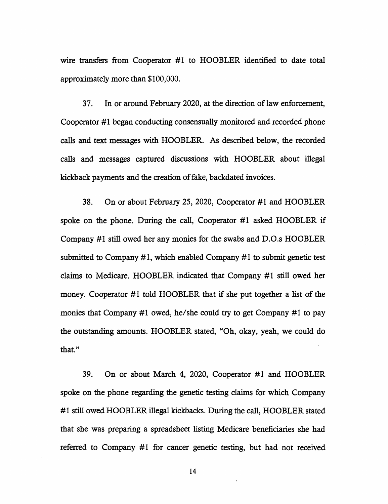wire transfers from Cooperator #1 to HOOBLER identified to date total approximately more than \$100,000.

37. In or around February 2020, at the direction of law enforcement, Cooperator #1 began conducting consensually monitored and recorded phone calls and text messages with HOOBLER. As described below, the recorded calls and messages captured discussions with HOOBLER about illegal kickback payments and the creation of fake, backdated invoices.

38. On or about February 25, 2020, Cooperator #1 and HOOBLER spoke on the phone. During the call, Cooperator #1 asked HOOBLER if Company #1 still owed her any monies for the swabs and D.O.s HOOBLER submitted to Company  $#1$ , which enabled Company  $#1$  to submit genetic test claims to Medicare. HOOBLER indicated that Company #1 still owed her money. Cooperator #1 told HOOBLER that if she put together a list of the monies that Company #1 owed, he/she could try to get Company #1 to pay the outstanding amounts. HOOBLER stated, "Oh, okay, yeah, we could do that."

39. On or about March 4, 2020, Cooperator #1 and HOOBLER spoke on the phone regarding the genetic testing claims for which Company #1 still owed HOOBLER illegal kickbacks. During the call, HOOBLER stated that she was preparing a spreadsheet listing Medicare beneficiaries she had referred to Company #1 for cancer genetic testing, but had not received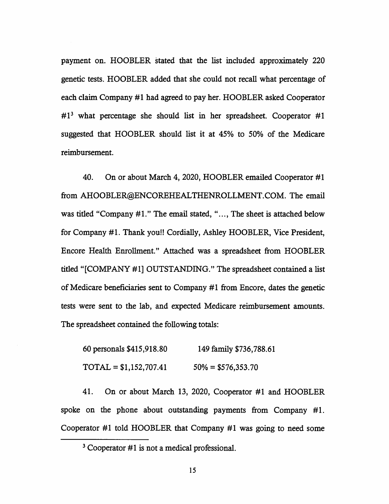payment on. HOOBLER stated that the list included approximately 220 genetic tests. HOOBLER added that she could not recall what percentage of each claim Company #1 had agreed to pay her. HOOBLER asked Cooperator  $#1<sup>3</sup>$  what percentage she should list in her spreadsheet. Cooperator #1 suggested that HOOBLER should list it at 45% to 50% of the Medicare reimbursement.

40. On or about March 4, 2020, HOOBLER emailed Cooperator #1 from AHOOBLER@ENCOREHEALTHENROLLMENT.COM. The email was titled "Company #1." The email stated, "..., The sheet is attached below for Company #1. Thank you!! Cordially, Ashley HOOBLER, Vice President, Encore Health Enrollment." Attached was a spreadsheet from HOOBLER titled "[COMPANY #1] OUTSTANDING." The spreadsheet contained a list of Medicare beneficiaries sent to Company #1 from Encore, dates the genetic tests were sent to the lab, and expected Medicare reimbursement amounts. The spreadsheet contained the following totals:

60 personals \$415,918.80  $\text{TOTAL} = $1,152,707.41$ 149 family \$736,788.61  $50\% = $576,353.70$ 

41. On or about March 13, 2020, Cooperator #1 and HOOBLER spoke on the phone about outstanding payments from Company #1. Cooperator #1 told HOOBLER that Company #1 was going to need some

 $3$  Cooperator #1 is not a medical professional.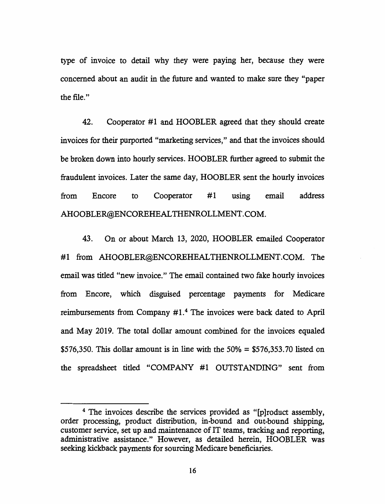type of invoice to detail why they were paying her, because they were concerned about an audit in the future and wanted to make sure they "paper the file."

42. Cooperator #1 and HOOBLER agreed that they should create invoices for their purported "marketing services," and that the invoices should be broken down into hourly services. HOOBLER further agreed to submit the fraudulent invoices. Later the same day, HOOBLER sent the hourly invoices from Encore to Cooperator #1 using email address AHOOBLER@ENCOREHEALTHENROLLMENT.COM.

43. On or about March 13, 2020, HOOBLER emailed Cooperator #1 from AHOOBLER@ENCOREHEALTHENROLLMENT.COM. The email was titled "new invoice." The email contained two fake hourly invoices from Encore, which disguised percentage payments for Medicare reimbursements from Company  $#1<sup>4</sup>$ . The invoices were back dated to April and May 2019. The total dollar amount combined for the invoices equaled \$576,350. This dollar amount is in line with the  $50\% = $576,353.70$  listed on the spreadsheet titled "COMPANY #1 OUTSTANDING" sent from

<sup>&</sup>lt;sup>4</sup> The invoices describe the services provided as "[p]roduct assembly, order processing, product distribution, in-bound and out-bound shipping, customer service, set up and maintenance of IT teams, tracking and reporting, administrative assistance." However, as detailed herein, HOOBLER was seeking kickback payments for sourcing Medicare beneficiaries.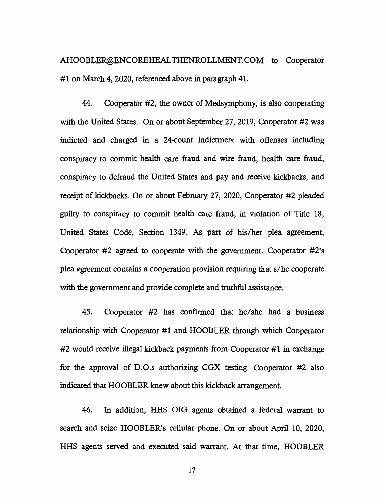AHOOBLER@ENCOREHEALTHENROLLMENT.COM to Cooperator #1 on March 4, 2020, referenced above in paragraph 41.

44. Cooperator #2, the owner of Medsymphony, is also cooperating with the United States. On or about September 27, 2019, Cooperator #2 was indicted and charged in a 24-count indictment with offenses including conspiracy to commit health care fraud and wire fraud, health care fraud, conspiracy to defraud the United States and pay and receive kickbacks, and receipt of kickbacks. On or about February 27, 2020, Cooperator #2 pleaded guilty to conspiracy to commit health care fraud, in violation of Title 18, United States Code, Section 1349. As part of his/her plea agreement, Cooperator #2 agreed to cooperate with the government. Cooperator #2's plea agreement contains a cooperation provision requiring that s/he cooperate with the government and provide complete and truthful assistance.

45. Cooperator #2 has confirmed that he/she had a business relationship with Cooperator #1 and HOOBLER through which Cooperator  $#2$  would receive illegal kickback payments from Cooperator  $#1$  in exchange for the approval of D.O.s authorizing CGX testing. Cooperator #2 also indicated that HOOBLER knew about this kickback arrangement.

46. In addition, HHS OIG agents obtained a federal warrant to search and seize HOOBLER's cellular phone. On or about April 10, 2020, HHS agents served and executed said warrant. At that time, HOOBLER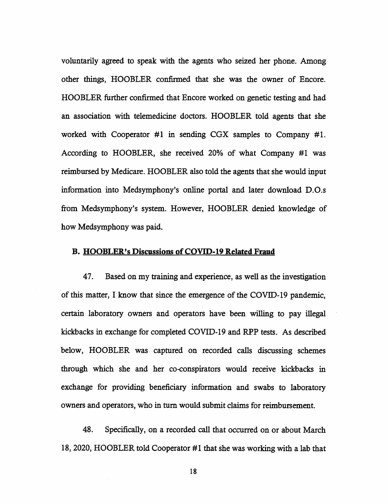voluntarily agreed to speak with the agents who seized her phone. Among other things, HOOBLER confirmed that she was the owner of Encore. HOOBLER further confirmed that Encore worked on genetic testing and had an association with telemedicine doctors. HOOBLER told agents that she worked with Cooperator #1 in sending CGX samples to Company #1. According to HOOBLER, she received 20% of what Company #1 was reimbursed by Medicare. HOOBLER also told the agents that she would input information into Medsymphony's online portal and later download D.O.s from Medsymphony's system. However, HOOBLER denied knowledge of how Medsymphony was paid.

#### **B. HOOBLER's Discussions of COVID-19 Related Fraud**

47. Based on my training and experience, as well as the investigation of this matter, I know that since the emergence of the COVID-19 pandemic, certain laboratory owners and operators have been willing to pay illegal kickbacks in exchange for completed COVID-19 and RPP tests. As described below, HOOBLER was captured on recorded calls discussing schemes through which she and her co-conspirators would receive kickbacks in exchange for providing beneficiary information and swabs to laboratory owners and operators, who in tum would submit claims for reimbursement.

48. Specifically, on a recorded call that occurred on or about March 18, 2020, HOOBLER told Cooperator #1 that she was working with a lab that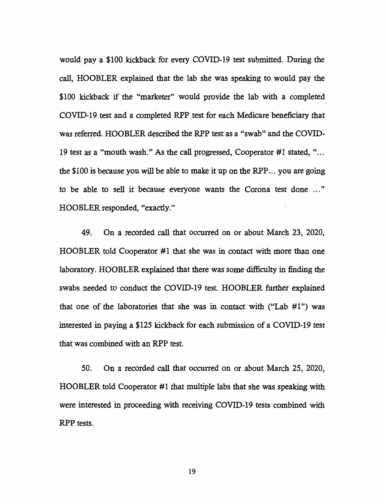would pay a \$100 kickback for every COVID-19 test submitted. During the call, HOOBLER explained that the lab she was speaking to would pay the \$100 kickback if the "marketer" would provide the lab with a completed COVID-19 test and a completed RPP test for each Medicare beneficiary that was referred. HOOBLER described the RPP test as a "swab'' and the COVID-19 test as a "mouth wash." As the call progressed, Cooperator #1 stated, " ... the \$100 is because you will be able to make it up on the RPP ... you are going to be able to sell it because everyone wants the Corona test done " HOOBLER responded, "exactly."

49. On a recorded call that occurred on or about March 23, 2020, HOOBLER told Cooperator #1 that she was in contact with more than one laboratory. HOOBLER explained that there was some difficulty in finding the swabs needed to conduct the COVID-19 test. HOOBLER further explained that one of the laboratories that she was in contact with ("Lab  $#1$ ") was interested in paying a \$125 kickback for each submission of a COVID-19 test that was combined with an RPP test.

50. On a recorded call that occurred on or about March 25, 2020, HOOBLER told Cooperator #1 that multiple labs that she was speaking with were interested in proceeding with receiving COVID-19 tests combined with RPP tests.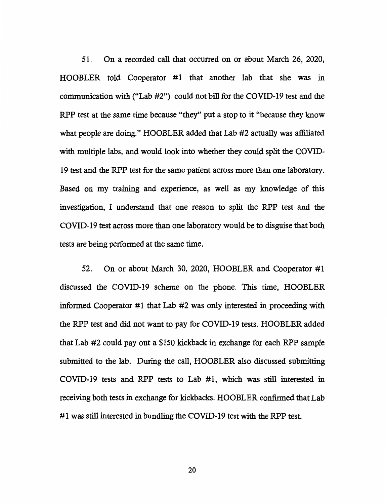51. On a recorded call that occurred on or about March 26, 2020, HOOBLER told Cooperator #1 that another lab that she was in communication with ("Lab #2") could not bill for the COVID-19 test and the RPP test at the same time because "they" put a stop to it "because they know what people are doing." HOOBLER added that Lab #2 actually was affiliated with multiple labs, and would look into whether they could split the COVID-19 test and the RPP test for the same patient across more than one laboratory. Based on my training and experience, as well as my knowledge of this investigation, I understand that one reason to split the RPP test and the COVID-19 test across more than one laboratory would be to disguise that both tests are being performed at the same time.

52. On or about March 30, 2020, HOOBLER and Cooperator #1 discussed the COVID-19 scheme on the phone. This time, HOOBLER informed Cooperator #1 that Lab  $#2$  was only interested in proceeding with the RPP test and did not want to pay for COVID-19 tests. HOOBLER added that Lab #2 could pay out a \$150 kickback in exchange for each RPP sample submitted to the lab. During the call, HOOBLER also discussed submitting COVID-19 tests and RPP tests to Lab #1, which was still interested in receiving both tests in exchange for kickbacks. HOOBLER confirmed that Lab #1 was still interested in bundling the COVID-19 test with the RPP test.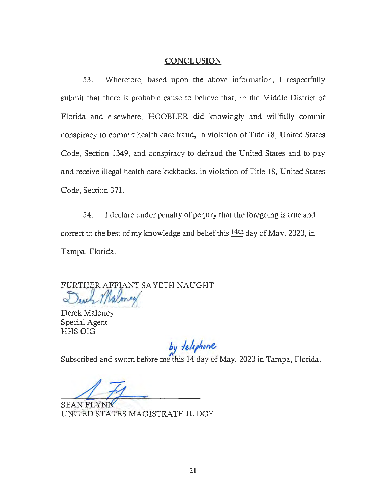#### **CONCLUSION**

53. Wherefore, based upon the above information, I respectfully submit that there is probable cause to believe that, in the Middle District of Florida and elsewhere, HOOBLER did knowingly and willfully commit conspiracy to commit health care fraud, in violation of Title 18, United States Code, Section 1349, and conspiracy to defraud the United States and to pay and receive illegal health care kickbacks, in violation of Title 18, United States Code, Section 371.

54. I declare under penalty of perjury that the foregoing is true and correct to the best of my knowledge and belief this  $14th$  day of May, 2020, in Tampa, Florida.

FURTHER AFFLANT SAYETH NAUGHT

Derek Maloney Special Agent HHS OIG

 $by$  *telephone* 

Subscribed and sworn before me'this 14 day of May, 2020 in Tampa, Florida.

SEAN FLYNN UNITED STATES MAGISTRATE JUDGE -